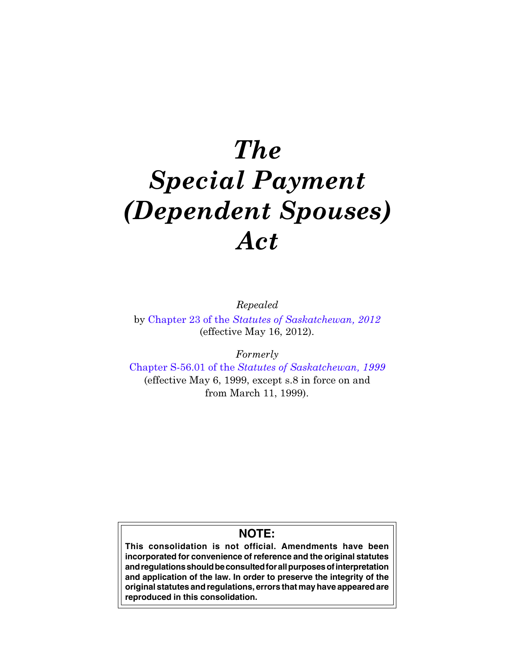# The Special Payment (Dependent Spouses) Act

Repealed

by Chapter 23 of the [Statutes of Saskatchewan, 2012](https://publications.saskatchewan.ca:443/api/v1/products/64272/formats/71585/download) (effective May 16, 2012).

Formerly

Chapter S-56.01 of the [Statutes of Saskatchewan, 1999](https://publications.saskatchewan.ca:443/api/v1/products/3546/formats/6682/download) (effective May 6, 1999, except s.8 in force on and from March 11, 1999).

# **NOTE:**

**This consolidation is not official. Amendments have been incorporated for convenience of reference and the original statutes and regulations should be consulted for all purposes of interpretation and application of the law. In order to preserve the integrity of the original statutes and regulations, errors that may have appeared are reproduced in this consolidation.**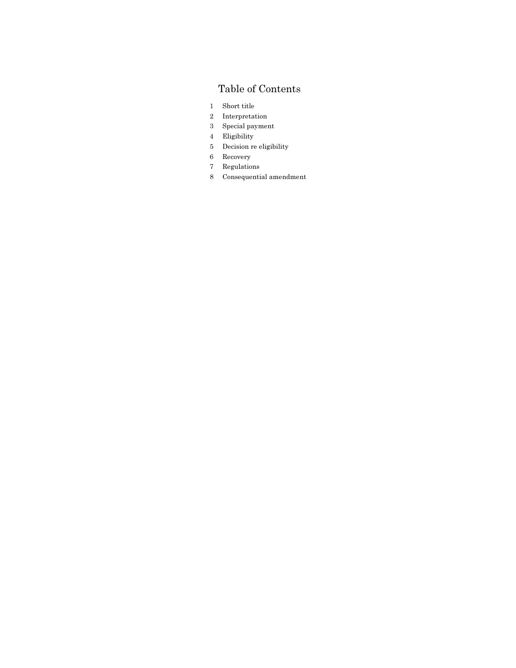# Table of Contents

- 1 Short title
- 2 Interpretation
- 3 Special payment
- 4 Eligibility
- 5 Decision re eligibility
- 6 Recovery
- 7 Regulations
- 8 Consequential amendment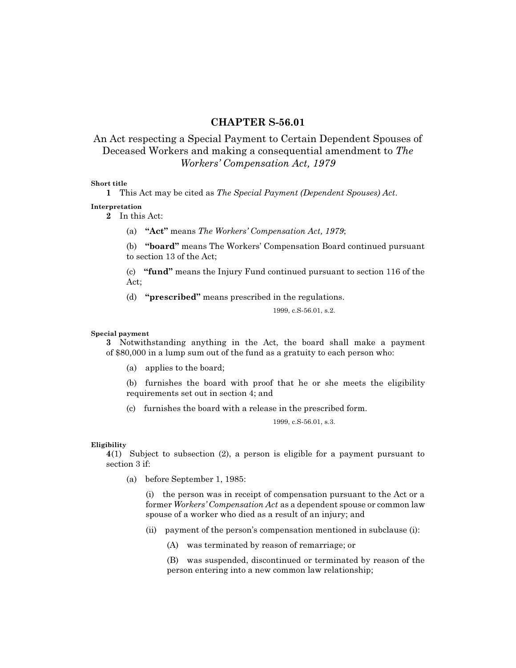## CHAPTER S-56.01

## An Act respecting a Special Payment to Certain Dependent Spouses of Deceased Workers and making a consequential amendment to The Workers' Compensation Act, 1979

#### Short title

1 This Act may be cited as The Special Payment (Dependent Spouses) Act.

Interpretation

2 In this Act:

(a) "Act" means The Workers' Compensation Act, 1979;

(b) "board" means The Workers' Compensation Board continued pursuant to section 13 of the Act;

(c) "fund" means the Injury Fund continued pursuant to section 116 of the Act;

(d) "prescribed" means prescribed in the regulations.

1999, c.S-56.01, s.2.

Special payment

3 Notwithstanding anything in the Act, the board shall make a payment of \$80,000 in a lump sum out of the fund as a gratuity to each person who:

(a) applies to the board;

(b) furnishes the board with proof that he or she meets the eligibility requirements set out in section 4; and

(c) furnishes the board with a release in the prescribed form.

1999, c.S-56.01, s.3.

#### Eligibility

4(1) Subject to subsection (2), a person is eligible for a payment pursuant to section 3 if:

(a) before September 1, 1985:

(i) the person was in receipt of compensation pursuant to the Act or a former Workers' Compensation Act as a dependent spouse or common law spouse of a worker who died as a result of an injury; and

(ii) payment of the person's compensation mentioned in subclause (i):

(A) was terminated by reason of remarriage; or

(B) was suspended, discontinued or terminated by reason of the person entering into a new common law relationship;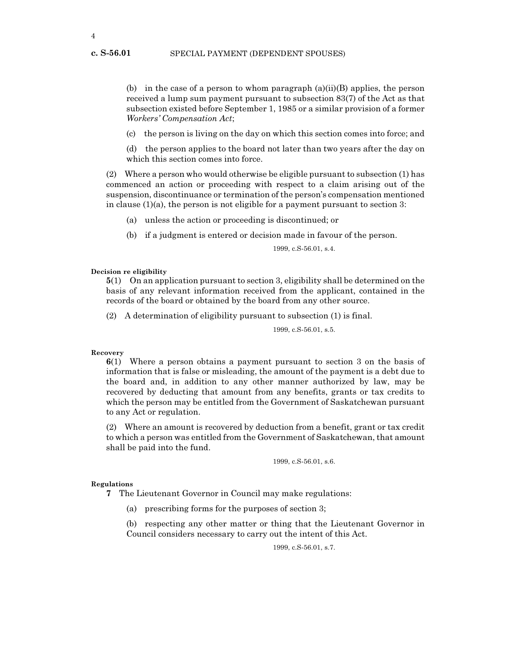(b) in the case of a person to whom paragraph  $(a)(ii)(B)$  applies, the person received a lump sum payment pursuant to subsection 83(7) of the Act as that subsection existed before September 1, 1985 or a similar provision of a former Workers' Compensation Act;

(c) the person is living on the day on which this section comes into force; and

(d) the person applies to the board not later than two years after the day on which this section comes into force.

(2) Where a person who would otherwise be eligible pursuant to subsection (1) has commenced an action or proceeding with respect to a claim arising out of the suspension, discontinuance or termination of the person's compensation mentioned in clause  $(1)(a)$ , the person is not eligible for a payment pursuant to section 3:

(a) unless the action or proceeding is discontinued; or

(b) if a judgment is entered or decision made in favour of the person.

1999, c.S-56.01, s.4.

Decision re eligibility

5(1) On an application pursuant to section 3, eligibility shall be determined on the basis of any relevant information received from the applicant, contained in the records of the board or obtained by the board from any other source.

(2) A determination of eligibility pursuant to subsection (1) is final.

1999, c.S-56.01, s.5.

#### Recovery

6(1) Where a person obtains a payment pursuant to section 3 on the basis of information that is false or misleading, the amount of the payment is a debt due to the board and, in addition to any other manner authorized by law, may be recovered by deducting that amount from any benefits, grants or tax credits to which the person may be entitled from the Government of Saskatchewan pursuant to any Act or regulation.

(2) Where an amount is recovered by deduction from a benefit, grant or tax credit to which a person was entitled from the Government of Saskatchewan, that amount shall be paid into the fund.

1999, c.S-56.01, s.6.

#### Regulations

- 7 The Lieutenant Governor in Council may make regulations:
	- (a) prescribing forms for the purposes of section 3;

(b) respecting any other matter or thing that the Lieutenant Governor in Council considers necessary to carry out the intent of this Act.

1999, c.S-56.01, s.7.

c. S-56.01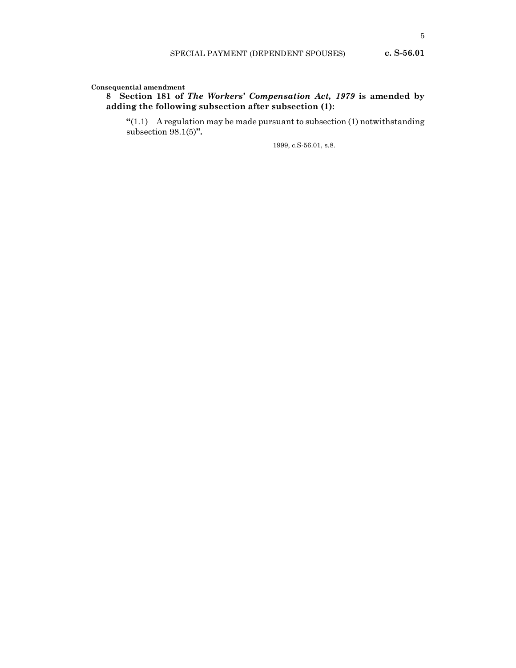### 8 Section 181 of The Workers' Compensation Act, 1979 is amended by adding the following subsection after subsection (1):

" $(1.1)$  A regulation may be made pursuant to subsection  $(1)$  notwithstanding subsection 98.1(5)".

1999, c.S-56.01, s.8.

c. S-56.01